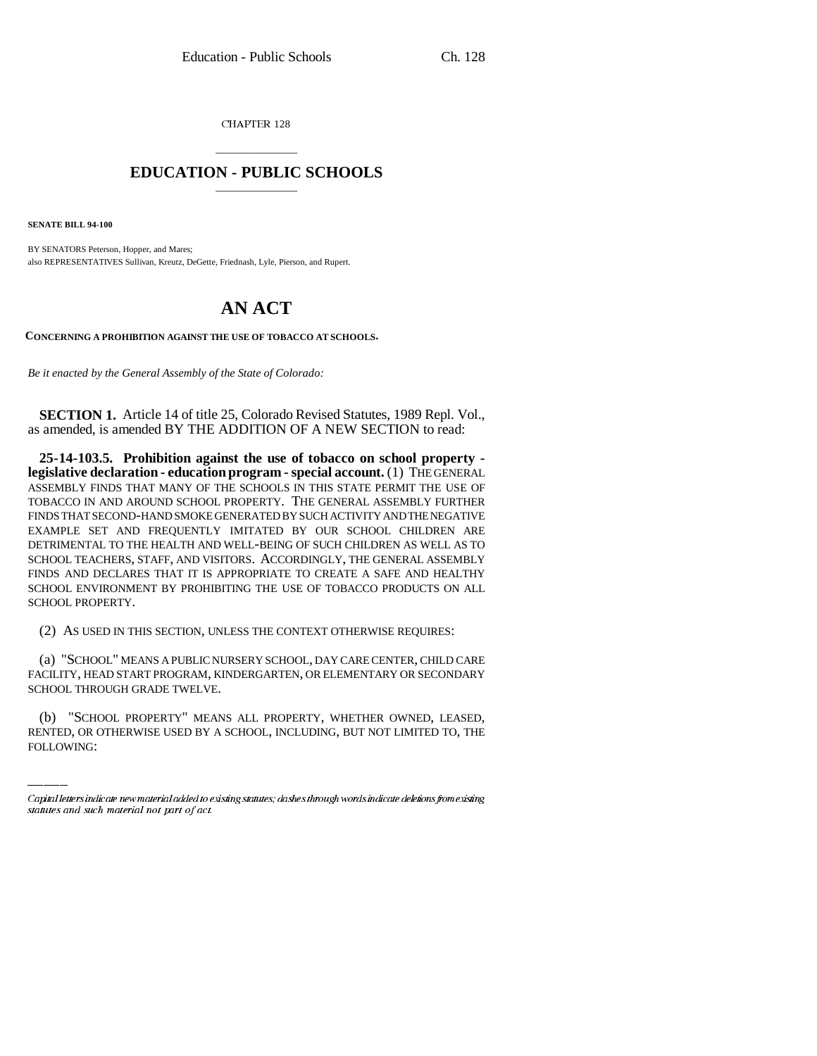CHAPTER 128

## \_\_\_\_\_\_\_\_\_\_\_\_\_\_\_ **EDUCATION - PUBLIC SCHOOLS** \_\_\_\_\_\_\_\_\_\_\_\_\_\_\_

**SENATE BILL 94-100**

BY SENATORS Peterson, Hopper, and Mares; also REPRESENTATIVES Sullivan, Kreutz, DeGette, Friednash, Lyle, Pierson, and Rupert.

## **AN ACT**

**CONCERNING A PROHIBITION AGAINST THE USE OF TOBACCO AT SCHOOLS.**

*Be it enacted by the General Assembly of the State of Colorado:*

**SECTION 1.** Article 14 of title 25, Colorado Revised Statutes, 1989 Repl. Vol., as amended, is amended BY THE ADDITION OF A NEW SECTION to read:

**25-14-103.5. Prohibition against the use of tobacco on school property legislative declaration - education program - special account.** (1) THE GENERAL ASSEMBLY FINDS THAT MANY OF THE SCHOOLS IN THIS STATE PERMIT THE USE OF TOBACCO IN AND AROUND SCHOOL PROPERTY. THE GENERAL ASSEMBLY FURTHER FINDS THAT SECOND-HAND SMOKE GENERATED BY SUCH ACTIVITY AND THE NEGATIVE EXAMPLE SET AND FREQUENTLY IMITATED BY OUR SCHOOL CHILDREN ARE DETRIMENTAL TO THE HEALTH AND WELL-BEING OF SUCH CHILDREN AS WELL AS TO SCHOOL TEACHERS, STAFF, AND VISITORS. ACCORDINGLY, THE GENERAL ASSEMBLY FINDS AND DECLARES THAT IT IS APPROPRIATE TO CREATE A SAFE AND HEALTHY SCHOOL ENVIRONMENT BY PROHIBITING THE USE OF TOBACCO PRODUCTS ON ALL SCHOOL PROPERTY.

(2) AS USED IN THIS SECTION, UNLESS THE CONTEXT OTHERWISE REQUIRES:

SCHOOL THROUGH GRADE TWELVE. (a) "SCHOOL" MEANS A PUBLIC NURSERY SCHOOL, DAY CARE CENTER, CHILD CARE FACILITY, HEAD START PROGRAM, KINDERGARTEN, OR ELEMENTARY OR SECONDARY

(b) "SCHOOL PROPERTY" MEANS ALL PROPERTY, WHETHER OWNED, LEASED, RENTED, OR OTHERWISE USED BY A SCHOOL, INCLUDING, BUT NOT LIMITED TO, THE FOLLOWING:

Capital letters indicate new material added to existing statutes; dashes through words indicate deletions from existing statutes and such material not part of act.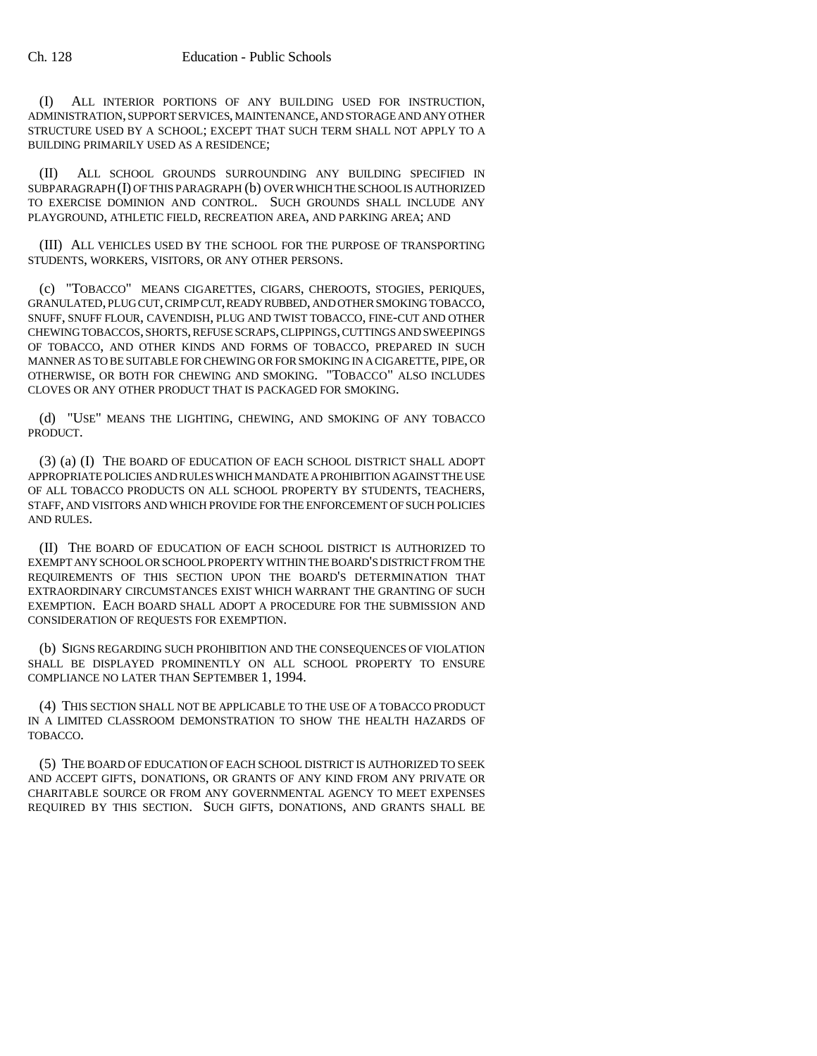(I) ALL INTERIOR PORTIONS OF ANY BUILDING USED FOR INSTRUCTION, ADMINISTRATION, SUPPORT SERVICES, MAINTENANCE, AND STORAGE AND ANY OTHER STRUCTURE USED BY A SCHOOL; EXCEPT THAT SUCH TERM SHALL NOT APPLY TO A BUILDING PRIMARILY USED AS A RESIDENCE;

(II) ALL SCHOOL GROUNDS SURROUNDING ANY BUILDING SPECIFIED IN SUBPARAGRAPH (I) OF THIS PARAGRAPH (b) OVER WHICH THE SCHOOL IS AUTHORIZED TO EXERCISE DOMINION AND CONTROL. SUCH GROUNDS SHALL INCLUDE ANY PLAYGROUND, ATHLETIC FIELD, RECREATION AREA, AND PARKING AREA; AND

(III) ALL VEHICLES USED BY THE SCHOOL FOR THE PURPOSE OF TRANSPORTING STUDENTS, WORKERS, VISITORS, OR ANY OTHER PERSONS.

(c) "TOBACCO" MEANS CIGARETTES, CIGARS, CHEROOTS, STOGIES, PERIQUES, GRANULATED, PLUG CUT, CRIMP CUT, READY RUBBED, AND OTHER SMOKING TOBACCO, SNUFF, SNUFF FLOUR, CAVENDISH, PLUG AND TWIST TOBACCO, FINE-CUT AND OTHER CHEWING TOBACCOS, SHORTS, REFUSE SCRAPS, CLIPPINGS, CUTTINGS AND SWEEPINGS OF TOBACCO, AND OTHER KINDS AND FORMS OF TOBACCO, PREPARED IN SUCH MANNER AS TO BE SUITABLE FOR CHEWING OR FOR SMOKING IN A CIGARETTE, PIPE, OR OTHERWISE, OR BOTH FOR CHEWING AND SMOKING. "TOBACCO" ALSO INCLUDES CLOVES OR ANY OTHER PRODUCT THAT IS PACKAGED FOR SMOKING.

(d) "USE" MEANS THE LIGHTING, CHEWING, AND SMOKING OF ANY TOBACCO PRODUCT.

(3) (a) (I) THE BOARD OF EDUCATION OF EACH SCHOOL DISTRICT SHALL ADOPT APPROPRIATE POLICIES AND RULES WHICH MANDATE A PROHIBITION AGAINST THE USE OF ALL TOBACCO PRODUCTS ON ALL SCHOOL PROPERTY BY STUDENTS, TEACHERS, STAFF, AND VISITORS AND WHICH PROVIDE FOR THE ENFORCEMENT OF SUCH POLICIES AND RULES.

(II) THE BOARD OF EDUCATION OF EACH SCHOOL DISTRICT IS AUTHORIZED TO EXEMPT ANY SCHOOL OR SCHOOL PROPERTY WITHIN THE BOARD'S DISTRICT FROM THE REQUIREMENTS OF THIS SECTION UPON THE BOARD'S DETERMINATION THAT EXTRAORDINARY CIRCUMSTANCES EXIST WHICH WARRANT THE GRANTING OF SUCH EXEMPTION. EACH BOARD SHALL ADOPT A PROCEDURE FOR THE SUBMISSION AND CONSIDERATION OF REQUESTS FOR EXEMPTION.

(b) SIGNS REGARDING SUCH PROHIBITION AND THE CONSEQUENCES OF VIOLATION SHALL BE DISPLAYED PROMINENTLY ON ALL SCHOOL PROPERTY TO ENSURE COMPLIANCE NO LATER THAN SEPTEMBER 1, 1994.

(4) THIS SECTION SHALL NOT BE APPLICABLE TO THE USE OF A TOBACCO PRODUCT IN A LIMITED CLASSROOM DEMONSTRATION TO SHOW THE HEALTH HAZARDS OF TOBACCO.

(5) THE BOARD OF EDUCATION OF EACH SCHOOL DISTRICT IS AUTHORIZED TO SEEK AND ACCEPT GIFTS, DONATIONS, OR GRANTS OF ANY KIND FROM ANY PRIVATE OR CHARITABLE SOURCE OR FROM ANY GOVERNMENTAL AGENCY TO MEET EXPENSES REQUIRED BY THIS SECTION. SUCH GIFTS, DONATIONS, AND GRANTS SHALL BE